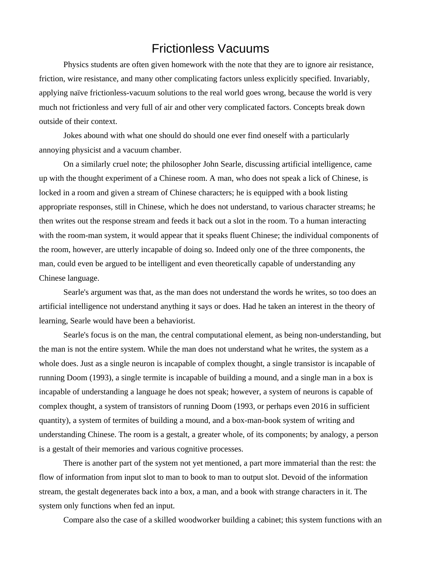## Frictionless Vacuums

Physics students are often given homework with the note that they are to ignore air resistance, friction, wire resistance, and many other complicating factors unless explicitly specified. Invariably, applying naïve frictionless-vacuum solutions to the real world goes wrong, because the world is very much not frictionless and very full of air and other very complicated factors. Concepts break down outside of their context.

Jokes abound with what one should do should one ever find oneself with a particularly annoying physicist and a vacuum chamber.

On a similarly cruel note; the philosopher John Searle, discussing artificial intelligence, came up with the thought experiment of a Chinese room. A man, who does not speak a lick of Chinese, is locked in a room and given a stream of Chinese characters; he is equipped with a book listing appropriate responses, still in Chinese, which he does not understand, to various character streams; he then writes out the response stream and feeds it back out a slot in the room. To a human interacting with the room-man system, it would appear that it speaks fluent Chinese; the individual components of the room, however, are utterly incapable of doing so. Indeed only one of the three components, the man, could even be argued to be intelligent and even theoretically capable of understanding any Chinese language.

Searle's argument was that, as the man does not understand the words he writes, so too does an artificial intelligence not understand anything it says or does. Had he taken an interest in the theory of learning, Searle would have been a behaviorist.

Searle's focus is on the man, the central computational element, as being non-understanding, but the man is not the entire system. While the man does not understand what he writes, the system as a whole does. Just as a single neuron is incapable of complex thought, a single transistor is incapable of running Doom (1993), a single termite is incapable of building a mound, and a single man in a box is incapable of understanding a language he does not speak; however, a system of neurons is capable of complex thought, a system of transistors of running Doom (1993, or perhaps even 2016 in sufficient quantity), a system of termites of building a mound, and a box-man-book system of writing and understanding Chinese. The room is a gestalt, a greater whole, of its components; by analogy, a person is a gestalt of their memories and various cognitive processes.

There is another part of the system not yet mentioned, a part more immaterial than the rest: the flow of information from input slot to man to book to man to output slot. Devoid of the information stream, the gestalt degenerates back into a box, a man, and a book with strange characters in it. The system only functions when fed an input.

Compare also the case of a skilled woodworker building a cabinet; this system functions with an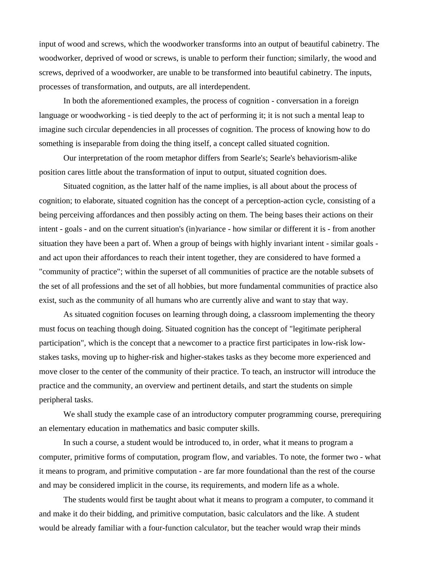input of wood and screws, which the woodworker transforms into an output of beautiful cabinetry. The woodworker, deprived of wood or screws, is unable to perform their function; similarly, the wood and screws, deprived of a woodworker, are unable to be transformed into beautiful cabinetry. The inputs, processes of transformation, and outputs, are all interdependent.

In both the aforementioned examples, the process of cognition - conversation in a foreign language or woodworking - is tied deeply to the act of performing it; it is not such a mental leap to imagine such circular dependencies in all processes of cognition. The process of knowing how to do something is inseparable from doing the thing itself, a concept called situated cognition.

Our interpretation of the room metaphor differs from Searle's; Searle's behaviorism-alike position cares little about the transformation of input to output, situated cognition does.

Situated cognition, as the latter half of the name implies, is all about about the process of cognition; to elaborate, situated cognition has the concept of a perception-action cycle, consisting of a being perceiving affordances and then possibly acting on them. The being bases their actions on their intent - goals - and on the current situation's (in)variance - how similar or different it is - from another situation they have been a part of. When a group of beings with highly invariant intent - similar goals and act upon their affordances to reach their intent together, they are considered to have formed a "community of practice"; within the superset of all communities of practice are the notable subsets of the set of all professions and the set of all hobbies, but more fundamental communities of practice also exist, such as the community of all humans who are currently alive and want to stay that way.

As situated cognition focuses on learning through doing, a classroom implementing the theory must focus on teaching though doing. Situated cognition has the concept of "legitimate peripheral participation", which is the concept that a newcomer to a practice first participates in low-risk lowstakes tasks, moving up to higher-risk and higher-stakes tasks as they become more experienced and move closer to the center of the community of their practice. To teach, an instructor will introduce the practice and the community, an overview and pertinent details, and start the students on simple peripheral tasks.

We shall study the example case of an introductory computer programming course, prerequiring an elementary education in mathematics and basic computer skills.

In such a course, a student would be introduced to, in order, what it means to program a computer, primitive forms of computation, program flow, and variables. To note, the former two - what it means to program, and primitive computation - are far more foundational than the rest of the course and may be considered implicit in the course, its requirements, and modern life as a whole.

The students would first be taught about what it means to program a computer, to command it and make it do their bidding, and primitive computation, basic calculators and the like. A student would be already familiar with a four-function calculator, but the teacher would wrap their minds